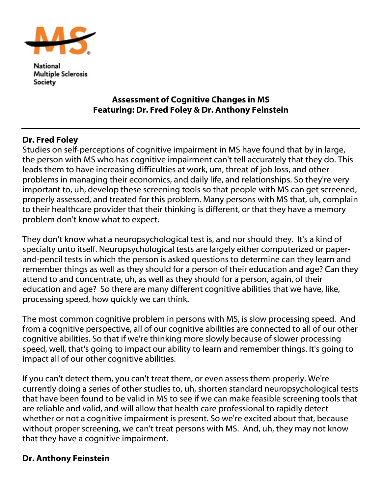

National **Multiple Sclerosis** Society

## Assessment of Cognitive Changes in MS Featuring: Dr. Fred Foley & Dr. Anthony Feinstein

## Dr. Fred Foley

Studies on self-perceptions of cognitive impairment in MS have found that by in large, the person with MS who has cognitive impairment can't tell accurately that they do. This leads them to have increasing difficulties at work, um, threat of job loss, and other problems in managing their economics, and daily life, and relationships. So they're very important to, uh, develop these screening tools so that people with MS can get screened, properly assessed, and treated for this problem. Many persons with MS that, uh, complain to their healthcare provider that their thinking is different, or that they have a memory problem don't know what to expect.

They don't know what a neuropsychological test is, and nor should they. It's a kind of specialty unto itself. Neuropsychological tests are largely either computerized or paperand-pencil tests in which the person is asked questions to determine can they learn and remember things as well as they should for a person of their education and age? Can they attend to and concentrate, uh, as well as they should for a person, again, of their education and age? So there are many different cognitive abilities that we have, like, processing speed, how quickly we can think.

The most common cognitive problem in persons with MS, is slow processing speed. And from a cognitive perspective, all of our cognitive abilities are connected to all of our other cognitive abilities. So that if we're thinking more slowly because of slower processing speed, well, that's going to impact our ability to learn and remember things. It's going to impact all of our other cognitive abilities.

If you can't detect them, you can't treat them, or even assess them properly. We're currently doing a series of other studies to, uh, shorten standard neuropsychological tests that have been found to be valid in MS to see if we can make feasible screening tools that are reliable and valid, and will allow that health care professional to rapidly detect whether or not a cognitive impairment is present. So we're excited about that, because without proper screening, we can't treat persons with MS. And, uh, they may not know that they have a cognitive impairment.

## Dr. Anthony Feinstein